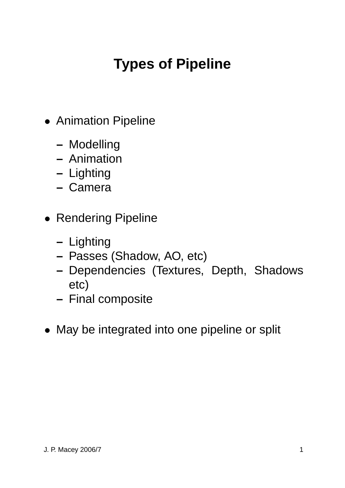# **Types of Pipeline**

- Animation Pipeline
	- **–** Modelling
	- **–** Animation
	- **–** Lighting
	- **–** Camera
- Rendering Pipeline
	- **–** Lighting
	- **–** Passes (Shadow, AO, etc)
	- **–** Dependencies (Textures, Depth, Shadows etc)
	- **–** Final composite
- May be integrated into one pipeline or split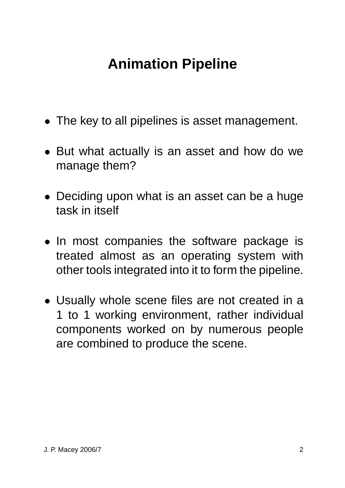### **Animation Pipeline**

- The key to all pipelines is asset management.
- But what actually is an asset and how do we manage them?
- Deciding upon what is an asset can be a huge task in itself
- In most companies the software package is treated almost as an operating system with other tools integrated into it to form the pipeline.
- Usually whole scene files are not created in a 1 to 1 working environment, rather individual components worked on by numerous people are combined to produce the scene.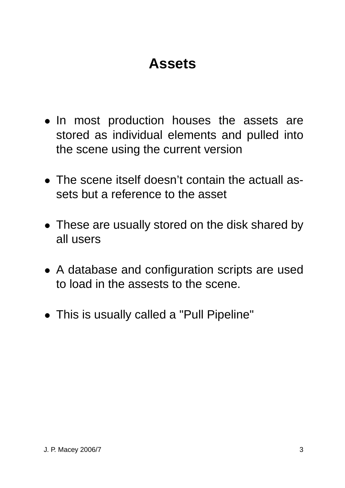### **Assets**

- In most production houses the assets are stored as individual elements and pulled into the scene using the current version
- The scene itself doesn't contain the actuall assets but a reference to the asset
- These are usually stored on the disk shared by all users
- A database and configuration scripts are used to load in the assests to the scene.
- This is usually called a "Pull Pipeline"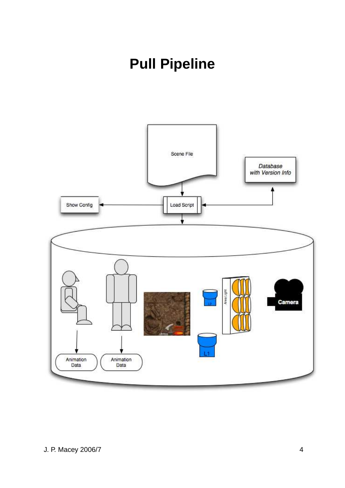## **Pull Pipeline**

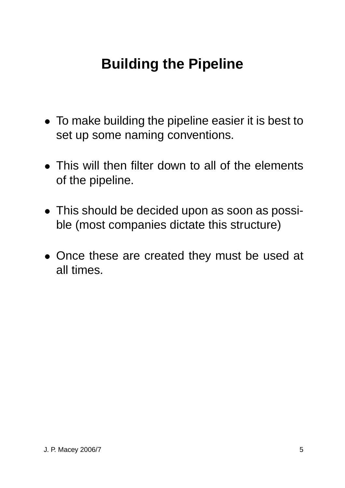### **Building the Pipeline**

- To make building the pipeline easier it is best to set up some naming conventions.
- This will then filter down to all of the elements of the pipeline.
- This should be decided upon as soon as possible (most companies dictate this structure)
- Once these are created they must be used at all times.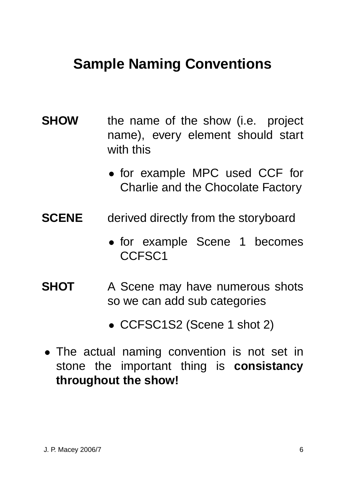### **Sample Naming Conventions**

- **SHOW** the name of the show (i.e. project name), every element should start with this
	- for example MPC used CCF for Charlie and the Chocolate Factory
- **SCENE** derived directly from the storyboard
	- for example Scene 1 becomes CCFSC1
- **SHOT** A Scene may have numerous shots so we can add sub categories
	- CCFSC1S2 (Scene 1 shot 2)
- The actual naming convention is not set in stone the important thing is **consistancy throughout the show!**